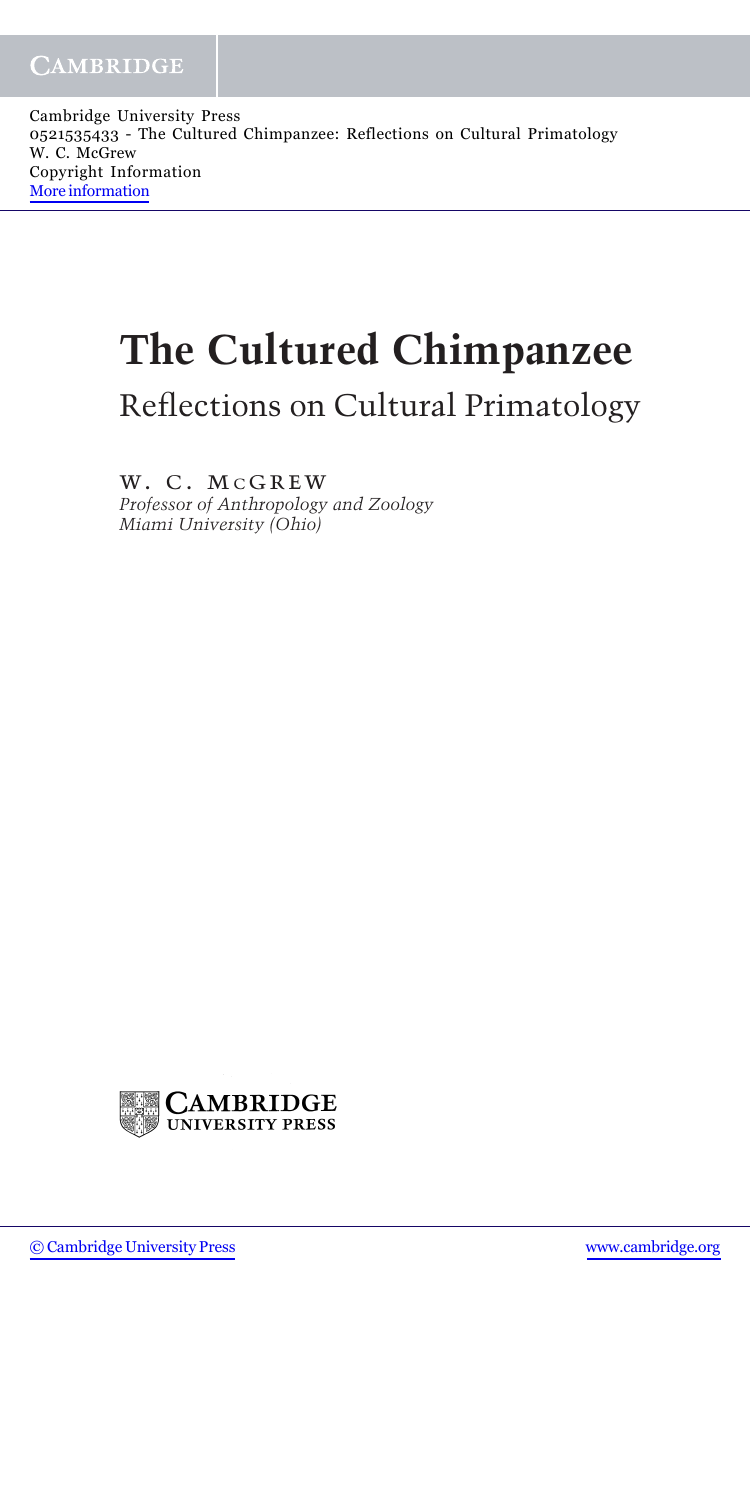Cambridge University Press 0521535433 - The Cultured Chimpanzee: Reflections on Cultural Primatology W. C. McGrew Copyright Information [More information](http://www.cambridge.org/0521535433)

## **The Cultured Chimpanzee**

Reflections on Cultural Primatology

w. c. mcgrew *Professor of Anthropology and Zoology Miami University (Ohio)*